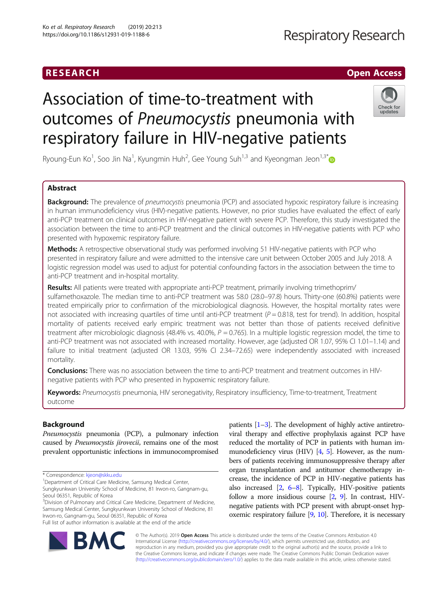# RESEARCH **CHE Open Access**

# **Respiratory Research**

# Association of time-to-treatment with outcomes of Pneumocystis pneumonia with respiratory failure in HIV-negative patients



Ryoung-Eun Ko<sup>1</sup>, Soo Jin Na<sup>1</sup>, Kyungmin Huh<sup>2</sup>, Gee Young Suh<sup>1,3</sup> and Kyeongman Jeon<sup>1,3\*</sup>

# Abstract

**Background:** The prevalence of pneumocystis pneumonia (PCP) and associated hypoxic respiratory failure is increasing in human immunodeficiency virus (HIV)-negative patients. However, no prior studies have evaluated the effect of early anti-PCP treatment on clinical outcomes in HIV-negative patient with severe PCP. Therefore, this study investigated the association between the time to anti-PCP treatment and the clinical outcomes in HIV-negative patients with PCP who presented with hypoxemic respiratory failure.

Methods: A retrospective observational study was performed involving 51 HIV-negative patients with PCP who presented in respiratory failure and were admitted to the intensive care unit between October 2005 and July 2018. A logistic regression model was used to adjust for potential confounding factors in the association between the time to anti-PCP treatment and in-hospital mortality.

Results: All patients were treated with appropriate anti-PCP treatment, primarily involving trimethoprim/ sulfamethoxazole. The median time to anti-PCP treatment was 58.0 (28.0–97.8) hours. Thirty-one (60.8%) patients were treated empirically prior to confirmation of the microbiological diagnosis. However, the hospital mortality rates were not associated with increasing quartiles of time until anti-PCP treatment  $(P = 0.818$ , test for trend). In addition, hospital mortality of patients received early empiric treatment was not better than those of patients received definitive treatment after microbiologic diagnosis (48.4% vs. 40.0%,  $P = 0.765$ ). In a multiple logistic regression model, the time to anti-PCP treatment was not associated with increased mortality. However, age (adjusted OR 1.07, 95% CI 1.01–1.14) and failure to initial treatment (adjusted OR 13.03, 95% CI 2.34–72.65) were independently associated with increased mortality.

**Conclusions:** There was no association between the time to anti-PCP treatment and treatment outcomes in HIVnegative patients with PCP who presented in hypoxemic respiratory failure.

Keywords: Pneumocystis pneumonia, HIV seronegativity, Respiratory insufficiency, Time-to-treatment, Treatment outcome

# Background

Pneumocystis pneumonia (PCP), a pulmonary infection caused by Pneumocystis jirovecii, remains one of the most prevalent opportunistic infections in immunocompromised

<sup>1</sup>Department of Critical Care Medicine, Samsung Medical Center,

Sungkyunkwan University School of Medicine, 81 Irwon-ro, Gangnam-gu, Seoul 06351, Republic of Korea

Full list of author information is available at the end of the article

patients [[1](#page-8-0)–[3\]](#page-8-0). The development of highly active antiretroviral therapy and effective prophylaxis against PCP have reduced the mortality of PCP in patients with human immunodeficiency virus (HIV)  $[4, 5]$  $[4, 5]$  $[4, 5]$ . However, as the numbers of patients receiving immunosuppressive therapy after organ transplantation and antitumor chemotherapy increase, the incidence of PCP in HIV-negative patients has also increased [[2](#page-8-0), [6](#page-9-0)–[8](#page-9-0)]. Typically, HIV-positive patients follow a more insidious course [[2](#page-8-0), [9\]](#page-9-0). In contrast, HIVnegative patients with PCP present with abrupt-onset hypoxemic respiratory failure  $[9, 10]$  $[9, 10]$  $[9, 10]$ . Therefore, it is necessary



© The Author(s). 2019 Open Access This article is distributed under the terms of the Creative Commons Attribution 4.0 International License [\(http://creativecommons.org/licenses/by/4.0/](http://creativecommons.org/licenses/by/4.0/)), which permits unrestricted use, distribution, and reproduction in any medium, provided you give appropriate credit to the original author(s) and the source, provide a link to the Creative Commons license, and indicate if changes were made. The Creative Commons Public Domain Dedication waiver [\(http://creativecommons.org/publicdomain/zero/1.0/](http://creativecommons.org/publicdomain/zero/1.0/)) applies to the data made available in this article, unless otherwise stated.

<sup>\*</sup> Correspondence: [kjeon@skku.edu](mailto:kjeon@skku.edu) <sup>1</sup>

<sup>&</sup>lt;sup>3</sup>Division of Pulmonary and Critical Care Medicine, Department of Medicine, Samsung Medical Center, Sungkyunkwan University School of Medicine, 81 Irwon-ro, Gangnam-gu, Seoul 06351, Republic of Korea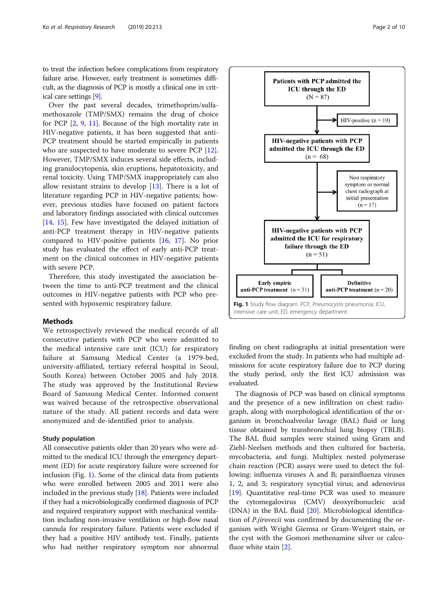to treat the infection before complications from respiratory failure arise. However, early treatment is sometimes difficult, as the diagnosis of PCP is mostly a clinical one in critical care settings [\[9](#page-9-0)].

Over the past several decades, trimethoprim/sulfamethoxazole (TMP/SMX) remains the drug of choice for PCP [\[2](#page-8-0), [9](#page-9-0), [11\]](#page-9-0). Because of the high mortality rate in HIV-negative patients, it has been suggested that anti-PCP treatment should be started empirically in patients who are suspected to have moderate to severe PCP [\[12](#page-9-0)]. However, TMP/SMX induces several side effects, including granulocytopenia, skin eruptions, hepatotoxicity, and renal toxicity. Using TMP/SMX inappropriately can also allow resistant strains to develop  $[13]$  $[13]$ . There is a lot of literature regarding PCP in HIV-negative patients; however, previous studies have focused on patient factors and laboratory findings associated with clinical outcomes [[14,](#page-9-0) [15\]](#page-9-0). Few have investigated the delayed initiation of anti-PCP treatment therapy in HIV-negative patients compared to HIV-positive patients [[16](#page-9-0), [17\]](#page-9-0). No prior study has evaluated the effect of early anti-PCP treatment on the clinical outcomes in HIV-negative patients with severe PCP.

Therefore, this study investigated the association between the time to anti-PCP treatment and the clinical outcomes in HIV-negative patients with PCP who presented with hypoxemic respiratory failure.

#### **Methods**

We retrospectively reviewed the medical records of all consecutive patients with PCP who were admitted to the medical intensive care unit (ICU) for respiratory failure at Samsung Medical Center (a 1979-bed, university-affiliated, tertiary referral hospital in Seoul, South Korea) between October 2005 and July 2018. The study was approved by the Institutional Review Board of Samsung Medical Center. Informed consent was waived because of the retrospective observational nature of the study. All patient records and data were anonymized and de-identified prior to analysis.

#### Study population

All consecutive patients older than 20 years who were admitted to the medical ICU through the emergency department (ED) for acute respiratory failure were screened for inclusion (Fig. 1). Some of the clinical data from patients who were enrolled between 2005 and 2011 were also included in the previous study [[18](#page-9-0)]. Patients were included if they had a microbiologically confirmed diagnosis of PCP and required respiratory support with mechanical ventilation including non-invasive ventilation or high-flow nasal cannula for respiratory failure. Patients were excluded if they had a positive HIV antibody test. Finally, patients who had neither respiratory symptom nor abnormal



finding on chest radiographs at initial presentation were excluded from the study. In patients who had multiple admissions for acute respiratory failure due to PCP during the study period, only the first ICU admission was evaluated.

The diagnosis of PCP was based on clinical symptoms and the presence of a new infiltration on chest radiograph, along with morphological identification of the organism in bronchoalveolar lavage (BAL) fluid or lung tissue obtained by transbronchial lung biopsy (TBLB). The BAL fluid samples were stained using Gram and Ziehl-Neelsen methods and then cultured for bacteria, mycobacteria, and fungi. Multiplex nested polymerase chain reaction (PCR) assays were used to detect the following: influenza viruses A and B; parainfluenza viruses 1, 2, and 3; respiratory syncytial virus; and adenovirus [[19\]](#page-9-0). Quantitative real-time PCR was used to measure the cytomegalovirus (CMV) deoxyribonucleic acid (DNA) in the BAL fluid [\[20](#page-9-0)]. Microbiological identification of P.jirovecii was confirmed by documenting the organism with Wright Giemsa or Gram-Weigert stain, or the cyst with the Gomori methenamine silver or calcofluor white stain [[2\]](#page-8-0).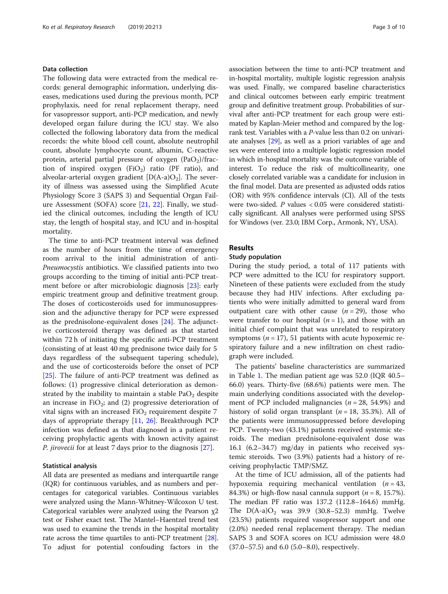### Data collection

The following data were extracted from the medical records: general demographic information, underlying diseases, medications used during the previous month, PCP prophylaxis, need for renal replacement therapy, need for vasopressor support, anti-PCP medication, and newly developed organ failure during the ICU stay. We also collected the following laboratory data from the medical records: the white blood cell count, absolute neutrophil count, absolute lymphocyte count, albumin, C-reactive protein, arterial partial pressure of oxygen  $(PaO<sub>2</sub>)/frac$ tion of inspired oxygen (FiO<sub>2</sub>) ratio (PF ratio), and alveolar-arterial oxygen gradient  $[D(A-a)O_2]$ . The severity of illness was assessed using the Simplified Acute Physiology Score 3 (SAPS 3) and Sequential Organ Failure Assessment (SOFA) score [[21,](#page-9-0) [22](#page-9-0)]. Finally, we studied the clinical outcomes, including the length of ICU stay, the length of hospital stay, and ICU and in-hospital mortality.

The time to anti-PCP treatment interval was defined as the number of hours from the time of emergency room arrival to the initial administration of anti-Pneumocystis antibiotics. We classified patients into two groups according to the timing of initial anti-PCP treatment before or after microbiologic diagnosis [[23\]](#page-9-0): early empiric treatment group and definitive treatment group. The doses of corticosteroids used for immunosuppression and the adjunctive therapy for PCP were expressed as the prednisolone-equivalent doses [\[24](#page-9-0)]. The adjunctive corticosteroid therapy was defined as that started within 72 h of initiating the specific anti-PCP treatment (consisting of at least 40 mg prednisone twice daily for 5 days regardless of the subsequent tapering schedule), and the use of corticosteroids before the onset of PCP [[25\]](#page-9-0). The failure of anti-PCP treatment was defined as follows: (1) progressive clinical deterioration as demonstrated by the inability to maintain a stable  $PaO<sub>2</sub>$  despite an increase in  $FiO<sub>2</sub>$ ; and (2) progressive deterioration of vital signs with an increased  $FiO<sub>2</sub>$  requirement despite 7 days of appropriate therapy [\[11](#page-9-0), [26](#page-9-0)]. Breakthrough PCP infection was defined as that diagnosed in a patient receiving prophylactic agents with known activity against P. jirovecii for at least 7 days prior to the diagnosis [[27](#page-9-0)].

#### Statistical analysis

All data are presented as medians and interquartile range (IQR) for continuous variables, and as numbers and percentages for categorical variables. Continuous variables were analyzed using the Mann-Whitney-Wilcoxon U test. Categorical variables were analyzed using the Pearson  $\chi$ 2 test or Fisher exact test. The Mantel–Haentzel trend test was used to examine the trends in the hospital mortality rate across the time quartiles to anti-PCP treatment [[28](#page-9-0)]. To adjust for potential confouding factors in the association between the time to anti-PCP treatment and in-hospital mortality, multiple logistic regression analysis was used. Finally, we compared baseline characteristics and clinical outcomes between early empiric treatment group and definitive treatment group. Probabilities of survival after anti-PCP treatment for each group were estimated by Kaplan-Meier method and compared by the logrank test. Variables with a P-value less than 0.2 on univariate analyses [[29](#page-9-0)], as well as a priori variables of age and sex were entered into a multiple logistic regression model in which in-hospital mortality was the outcome variable of interest. To reduce the risk of multicollinearity, one closely correlated variable was a candidate for inclusion in the final model. Data are presented as adjusted odds ratios (OR) with 95% confidence intervals (CI). All of the tests were two-sided. P values < 0.05 were considered statistically significant. All analyses were performed using SPSS for Windows (ver. 23.0; IBM Corp., Armonk, NY, USA).

#### Results

#### Study population

During the study period, a total of 117 patients with PCP were admitted to the ICU for respiratory support. Nineteen of these patients were excluded from the study because they had HIV infections. After excluding patients who were initially admitted to general ward from outpatient care with other cause  $(n = 29)$ , those who were transfer to our hospital  $(n = 1)$ , and those with an initial chief complaint that was unrelated to respiratory symptoms ( $n = 17$ ), 51 patients with acute hypoxemic respiratory failure and a new infiltration on chest radiograph were included.

The patients' baseline characteristics are summarized in Table [1](#page-3-0). The median patient age was 52.0 (IQR 40.5– 66.0) years. Thirty-five (68.6%) patients were men. The main underlying conditions associated with the development of PCP included malignancies ( $n = 28$ , 54.9%) and history of solid organ transplant  $(n = 18, 35.3\%)$ . All of the patients were immunosuppressed before developing PCP. Twenty-two (43.1%) patients received systemic steroids. The median prednisolone-equivalent dose was 16.1 (6.2–34.7) mg/day in patients who received systemic steroids. Two (3.9%) patients had a history of receiving prophylactic TMP/SMZ.

At the time of ICU admission, all of the patients had hypoxemia requiring mechanical ventilation  $(n = 43,$ 84.3%) or high-flow nasal cannula support  $(n = 8, 15.7\%)$ . The median PF ratio was 137.2 (112.8–164.6) mmHg. The  $D(A-a)O_2$  was 39.9 (30.8–52.3) mmHg. Twelve (23.5%) patients required vasopressor support and one (2.0%) needed renal replacement therapy. The median SAPS 3 and SOFA scores on ICU admission were 48.0 (37.0–57.5) and 6.0 (5.0–8.0), respectively.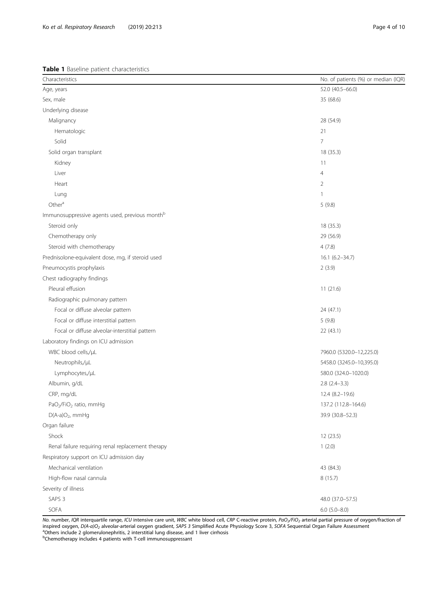<span id="page-3-0"></span>Table 1 Baseline patient characteristics

| Characteristics                                            | No. of patients (%) or median (IQR) |
|------------------------------------------------------------|-------------------------------------|
| Age, years                                                 | 52.0 (40.5-66.0)                    |
| Sex, male                                                  | 35 (68.6)                           |
| Underlying disease                                         |                                     |
| Malignancy                                                 | 28 (54.9)                           |
| Hematologic                                                | 21                                  |
| Solid                                                      | $\overline{7}$                      |
| Solid organ transplant                                     | 18 (35.3)                           |
| Kidney                                                     | 11                                  |
| Liver                                                      | 4                                   |
| Heart                                                      | $\overline{2}$                      |
| Lung                                                       | 1                                   |
| Other <sup>a</sup>                                         | 5(9.8)                              |
| Immunosuppressive agents used, previous month <sup>b</sup> |                                     |
| Steroid only                                               | 18 (35.3)                           |
| Chemotherapy only                                          | 29 (56.9)                           |
| Steroid with chemotherapy                                  | 4(7.8)                              |
| Prednisolone-equivalent dose, mg, if steroid used          | 16.1 (6.2-34.7)                     |
| Pneumocystis prophylaxis                                   | 2(3.9)                              |
| Chest radiography findings                                 |                                     |
| Pleural effusion                                           | 11(21.6)                            |
| Radiographic pulmonary pattern                             |                                     |
| Focal or diffuse alveolar pattern                          | 24 (47.1)                           |
| Focal or diffuse interstitial pattern                      | 5(9.8)                              |
| Focal or diffuse alveolar-interstitial pattern             | 22 (43.1)                           |
| Laboratory findings on ICU admission                       |                                     |
| WBC blood cells,/µL                                        | 7960.0 (5320.0-12,225.0)            |
| Neutrophils,/µL                                            | 5458.0 (3245.0-10,395.0)            |
| Lymphocytes,/µL                                            | 580.0 (324.0-1020.0)                |
| Albumin, g/dL                                              | $2.8$ $(2.4-3.3)$                   |
| CRP, mg/dL                                                 | $12.4(8.2 - 19.6)$                  |
| PaO <sub>2</sub> /FiO <sub>2</sub> ratio, mmHg             | 137.2 (112.8-164.6)                 |
| $D(A-a)O_2$ , mmHg                                         | 39.9 (30.8-52.3)                    |
| Organ failure                                              |                                     |
| Shock                                                      | 12 (23.5)                           |
| Renal failure requiring renal replacement therapy          | 1(2.0)                              |
| Respiratory support on ICU admission day                   |                                     |
| Mechanical ventilation                                     | 43 (84.3)                           |
| High-flow nasal cannula                                    | 8(15.7)                             |
| Severity of illness                                        |                                     |
| SAPS <sub>3</sub>                                          | 48.0 (37.0-57.5)                    |
| SOFA                                                       | $6.0$ $(5.0 - 8.0)$                 |

No. number, IQR interquartile range, ICU intensive care unit, WBC white blood cell, CRP C-reactive protein, PaO<sub>2</sub>/FiO<sub>2</sub> arterial partial pressure of oxygen/fraction of inspired oxygen, D(A-a)O<sub>2</sub> alveolar-arterial oxygen gradient, SAPS 3 Simplified Acute Physiology Score 3, SOFA Sequential Organ Failure Assessment <sup>a</sup>Others include 2 glomerulonephritis, 2 interstitial lung disease, and 1 liver cirrhosis

<sup>b</sup>Chemotherapy includes 4 patients with T-cell immunosuppressant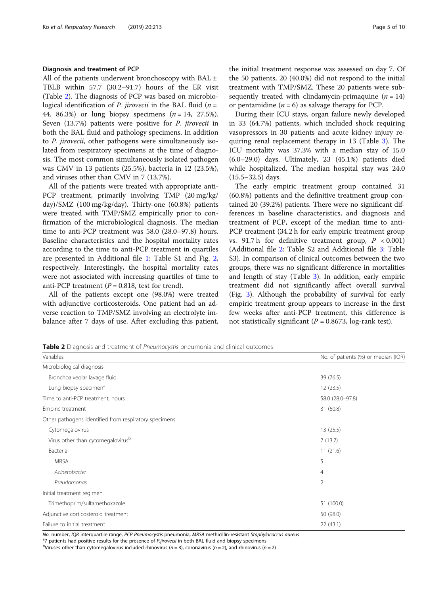#### Diagnosis and treatment of PCP

All of the patients underwent bronchoscopy with BAL  $\pm$ TBLB within 57.7 (30.2–91.7) hours of the ER visit (Table 2). The diagnosis of PCP was based on microbiological identification of *P. jirovecii* in the BAL fluid  $(n =$ 44, 86.3%) or lung biopsy specimens  $(n = 14, 27.5\%)$ . Seven (13.7%) patients were positive for P. jirovecii in both the BAL fluid and pathology specimens. In addition to P. jirovecii, other pathogens were simultaneously isolated from respiratory specimens at the time of diagnosis. The most common simultaneously isolated pathogen was CMV in 13 patients (25.5%), bacteria in 12 (23.5%), and viruses other than CMV in 7 (13.7%).

All of the patients were treated with appropriate anti-PCP treatment, primarily involving TMP (20 mg/kg/ day)/SMZ (100 mg/kg/day). Thirty-one (60.8%) patients were treated with TMP/SMZ empirically prior to confirmation of the microbiological diagnosis. The median time to anti-PCP treatment was 58.0 (28.0–97.8) hours. Baseline characteristics and the hospital mortality rates according to the time to anti-PCP treatment in quartiles are presented in Additional file [1](#page-8-0): Table S1 and Fig. [2](#page-5-0), respectively. Interestingly, the hospital mortality rates were not associated with increasing quartiles of time to anti-PCP treatment ( $P = 0.818$ , test for trend).

All of the patients except one (98.0%) were treated with adjunctive corticosteroids. One patient had an adverse reaction to TMP/SMZ involving an electrolyte imbalance after 7 days of use. After excluding this patient, the initial treatment response was assessed on day 7. Of the 50 patients, 20 (40.0%) did not respond to the initial treatment with TMP/SMZ. These 20 patients were subsequently treated with clindamycin-primaquine  $(n = 14)$ or pentamidine  $(n = 6)$  as salvage therapy for PCP.

During their ICU stays, organ failure newly developed in 33 (64.7%) patients, which included shock requiring vasopressors in 30 patients and acute kidney injury requiring renal replacement therapy in 13 (Table [3\)](#page-5-0). The ICU mortality was 37.3% with a median stay of 15.0 (6.0–29.0) days. Ultimately, 23 (45.1%) patients died while hospitalized. The median hospital stay was 24.0 (15.5–32.5) days.

The early empiric treatment group contained 31 (60.8%) patients and the definitive treatment group contained 20 (39.2%) patients. There were no significant differences in baseline characteristics, and diagnosis and treatment of PCP, except of the median time to anti-PCP treatment (34.2 h for early empiric treatment group vs. 91.7 h for definitive treatment group,  $P < 0.001$ ) (Additional file [2:](#page-8-0) Table S2 and Additional file [3:](#page-8-0) Table S3). In comparison of clinical outcomes between the two groups, there was no significant difference in mortalities and length of stay (Table [3](#page-5-0)). In addition, early empiric treatment did not significantly affect overall survival (Fig. [3](#page-6-0)). Although the probability of survival for early empiric treatment group appears to increase in the first few weeks after anti-PCP treatment, this difference is not statistically significant ( $P = 0.8673$ , log-rank test).

|  | Table 2 Diagnosis and treatment of Pneumocystis pneumonia and clinical outcomes |  |  |
|--|---------------------------------------------------------------------------------|--|--|
|  |                                                                                 |  |  |

| Variables                                             | No. of patients (%) or median (IQR) |
|-------------------------------------------------------|-------------------------------------|
| Microbiological diagnosis                             |                                     |
| Bronchoalveolar lavage fluid                          | 39 (76.5)                           |
| Lung biopsy specimen <sup>a</sup>                     | 12(23.5)                            |
| Time to anti-PCP treatment, hours                     | 58.0 (28.0-97.8)                    |
| Empiric treatment                                     | 31 (60.8)                           |
| Other pathogens identified from respiratory specimens |                                     |
| Cytomegalovirus                                       | 13(25.5)                            |
| Virus other than cytomegalovirus <sup>b</sup>         | 7(13.7)                             |
| Bacteria                                              | 11(21.6)                            |
| <b>MRSA</b>                                           | 5                                   |
| Acinetobacter                                         | 4                                   |
| Pseudomonas                                           | $\overline{2}$                      |
| Initial treatment regimen                             |                                     |
| Trimethoprim/sulfamethoxazole                         | 51 (100.0)                          |
| Adjunctive corticosteroid treatment                   | 50 (98.0)                           |
| Failure to initial treatment                          | 22(43.1)                            |

No. number, IQR interquartile range, PCP Pneumocystis pneumonia, MRSA methicillin-resistant Staphylococcus aureus

<sup>a</sup>7 patients had positive results for the presence of P.jirovecii in both BAL fluid and biopsy specimens

<sup>b</sup>Viruses other than cytomegalovirus included rhinovirus (n = 3), coronavirus (n = 2), and rhinovirus (n = 2)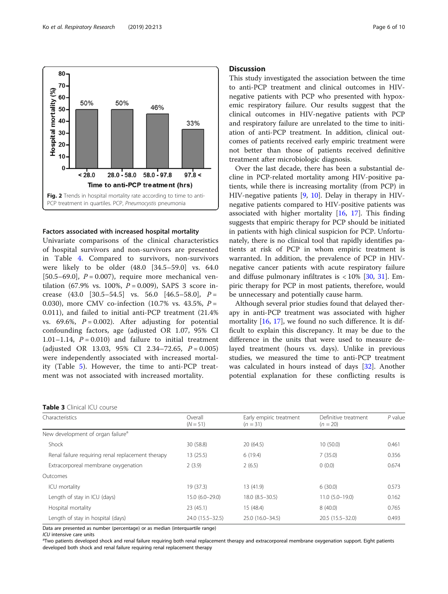<span id="page-5-0"></span>

#### Factors associated with increased hospital mortality

Univariate comparisons of the clinical characteristics of hospital survivors and non-survivors are presented in Table [4](#page-7-0). Compared to survivors, non-survivors were likely to be older (48.0 [34.5–59.0] vs. 64.0 [50.5–69.0],  $P = 0.007$ ), require more mechanical ventilation (67.9% vs. 100%,  $P = 0.009$ ), SAPS 3 score increase  $(43.0 \t[30.5-54.5]$  vs. 56.0  $[46.5-58.0]$ ,  $P =$ 0.030), more CMV co-infection (10.7% vs. 43.5%,  $P =$ 0.011), and failed to initial anti-PCP treatment (21.4% vs. 69.6%,  $P = 0.002$ ). After adjusting for potential confounding factors, age (adjusted OR 1.07, 95% CI 1.01–1.14,  $P = 0.010$ ) and failure to initial treatment (adjusted OR 13.03, 95% CI 2.34-72.65,  $P = 0.005$ ) were independently associated with increased mortality (Table [5](#page-8-0)). However, the time to anti-PCP treatment was not associated with increased mortality.

#### **Discussion**

This study investigated the association between the time to anti-PCP treatment and clinical outcomes in HIVnegative patients with PCP who presented with hypoxemic respiratory failure. Our results suggest that the clinical outcomes in HIV-negative patients with PCP and respiratory failure are unrelated to the time to initiation of anti-PCP treatment. In addition, clinical outcomes of patients received early empiric treatment were not better than those of patients received definitive treatment after microbiologic diagnosis.

Over the last decade, there has been a substantial decline in PCP-related mortality among HIV-positive patients, while there is increasing mortality (from PCP) in HIV-negative patients [\[9](#page-9-0), [10](#page-9-0)]. Delay in therapy in HIVnegative patients compared to HIV-positive patients was associated with higher mortality  $[16, 17]$  $[16, 17]$  $[16, 17]$  $[16, 17]$ . This finding suggests that empiric therapy for PCP should be initiated in patients with high clinical suspicion for PCP. Unfortunately, there is no clinical tool that rapidly identifies patients at risk of PCP in whom empiric treatment is warranted. In addition, the prevalence of PCP in HIVnegative cancer patients with acute respiratory failure and diffuse pulmonary infiltrates is  $< 10\%$  [\[30](#page-9-0), [31](#page-9-0)]. Empiric therapy for PCP in most patients, therefore, would be unnecessary and potentially cause harm.

Although several prior studies found that delayed therapy in anti-PCP treatment was associated with higher mortality [\[16](#page-9-0), [17](#page-9-0)], we found no such difference. It is difficult to explain this discrepancy. It may be due to the difference in the units that were used to measure delayed treatment (hours vs. days). Unlike in previous studies, we measured the time to anti-PCP treatment was calculated in hours instead of days [\[32](#page-9-0)]. Another potential explanation for these conflicting results is

| Characteristics                                   | Overall<br>$(N = 51)$ | Early empiric treatment<br>$(n = 31)$ | Definitive treatment<br>$(n = 20)$ | $P$ value |
|---------------------------------------------------|-----------------------|---------------------------------------|------------------------------------|-----------|
|                                                   |                       |                                       |                                    |           |
| New development of organ failure <sup>a</sup>     |                       |                                       |                                    |           |
| Shock                                             | 30 (58.8)             | 20(64.5)                              | 10(50.0)                           | 0.461     |
| Renal failure requiring renal replacement therapy | 13 (25.5)             | 6(19.4)                               | 7(35.0)                            | 0.356     |
| Extracorporeal membrane oxygenation               | 2(3.9)                | 2(6.5)                                | 0(0.0)                             | 0.674     |
| Outcomes                                          |                       |                                       |                                    |           |
| ICU mortality                                     | 19 (37.3)             | 13(41.9)                              | 6(30.0)                            | 0.573     |
| Length of stay in ICU (days)                      | 15.0 (6.0-29.0)       | $18.0(8.5 - 30.5)$                    | $11.0 (5.0 - 19.0)$                | 0.162     |
| Hospital mortality                                | 23(45.1)              | 15(48.4)                              | 8(40.0)                            | 0.765     |
| Length of stay in hospital (days)                 | 24.0 (15.5 - 32.5)    | 25.0 (16.0-34.5)                      | $20.5(15.5 - 32.0)$                | 0.493     |

Data are presented as number (percentage) or as median (interquartile range)

ICU intensive care units<br><sup>a</sup>Two patients developed shock and renal failure requiring both renal replacement therapy and extracorporeal membrane oxygenation support. Eight patients developed both shock and renal failure requiring renal replacement therapy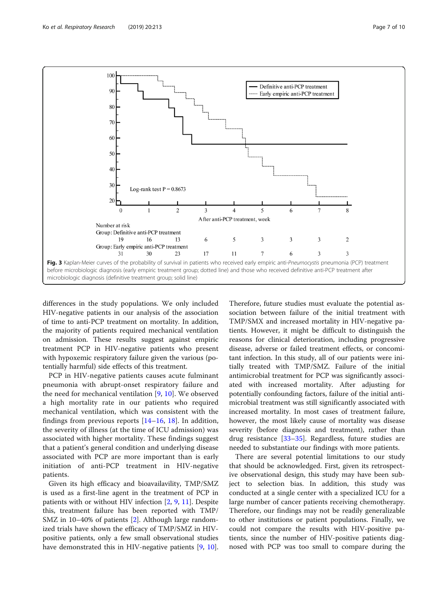<span id="page-6-0"></span>

differences in the study populations. We only included HIV-negative patients in our analysis of the association of time to anti-PCP treatment on mortality. In addition, the majority of patients required mechanical ventilation on admission. These results suggest against empiric treatment PCP in HIV-negative patients who present with hypoxemic respiratory failure given the various (potentially harmful) side effects of this treatment.

PCP in HIV-negative patients causes acute fulminant pneumonia with abrupt-onset respiratory failure and the need for mechanical ventilation [[9,](#page-9-0) [10\]](#page-9-0). We observed a high mortality rate in our patients who required mechanical ventilation, which was consistent with the findings from previous reports  $[14–16, 18]$  $[14–16, 18]$  $[14–16, 18]$  $[14–16, 18]$  $[14–16, 18]$  $[14–16, 18]$  $[14–16, 18]$ . In addition, the severity of illness (at the time of ICU admission) was associated with higher mortality. These findings suggest that a patient's general condition and underlying disease associated with PCP are more important than is early initiation of anti-PCP treatment in HIV-negative patients.

Given its high efficacy and bioavailavility, TMP/SMZ is used as a first-line agent in the treatment of PCP in patients with or without HIV infection [[2,](#page-8-0) [9,](#page-9-0) [11\]](#page-9-0). Despite this, treatment failure has been reported with TMP/ SMZ in 10–40% of patients [[2\]](#page-8-0). Although large randomized trials have shown the efficacy of TMP/SMZ in HIVpositive patients, only a few small observational studies have demonstrated this in HIV-negative patients [[9,](#page-9-0) [10](#page-9-0)].

Therefore, future studies must evaluate the potential association between failure of the initial treatment with TMP/SMX and increased mortality in HIV-negative patients. However, it might be difficult to distinguish the reasons for clinical deterioration, including progressive disease, adverse or failed treatment effects, or concomitant infection. In this study, all of our patients were initially treated with TMP/SMZ. Failure of the initial antimicrobial treatment for PCP was significantly associated with increased mortality. After adjusting for potentially confounding factors, failure of the initial antimicrobial treatment was still significantly associated with increased mortality. In most cases of treatment failure, however, the most likely cause of mortality was disease severity (before diagnosis and treatment), rather than drug resistance [[33](#page-9-0)–[35](#page-9-0)]. Regardless, future studies are needed to substantiate our findings with more patients.

There are several potential limitations to our study that should be acknowledged. First, given its retrospective observational design, this study may have been subject to selection bias. In addition, this study was conducted at a single center with a specialized ICU for a large number of cancer patients receiving chemotherapy. Therefore, our findings may not be readily generalizable to other institutions or patient populations. Finally, we could not compare the results with HIV-positive patients, since the number of HIV-positive patients diagnosed with PCP was too small to compare during the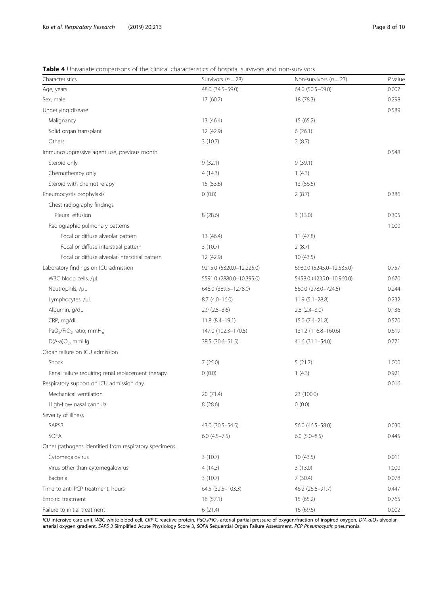### <span id="page-7-0"></span>Table 4 Univariate comparisons of the clinical characteristics of hospital survivors and non-survivors

| Characteristics                                       | Survivors ( $n = 28$ )   | Non-survivors ( $n = 23$ ) | $P$ value |
|-------------------------------------------------------|--------------------------|----------------------------|-----------|
| Age, years                                            | 48.0 (34.5 - 59.0)       | 64.0 (50.5-69.0)           | 0.007     |
| Sex, male                                             | 17(60.7)                 | 18 (78.3)                  | 0.298     |
| Underlying disease                                    |                          |                            | 0.589     |
| Malignancy                                            | 13 (46.4)                | 15(65.2)                   |           |
| Solid organ transplant                                | 12 (42.9)                | 6(26.1)                    |           |
| Others                                                | 3(10.7)                  | 2(8.7)                     |           |
| Immunosuppressive agent use, previous month           |                          |                            | 0.548     |
| Steroid only                                          | 9(32.1)                  | 9(39.1)                    |           |
| Chemotherapy only                                     | 4(14.3)                  | 1(4.3)                     |           |
| Steroid with chemotherapy                             | 15 (53.6)                | 13(56.5)                   |           |
| Pneumocystis prophylaxis                              | 0(0.0)                   | 2(8.7)                     | 0.386     |
| Chest radiography findings                            |                          |                            |           |
| Pleural effusion                                      | 8(28.6)                  | 3(13.0)                    | 0.305     |
| Radiographic pulmonary patterns                       |                          |                            | 1.000     |
| Focal or diffuse alveolar pattern                     | 13 (46.4)                | 11(47.8)                   |           |
| Focal or diffuse interstitial pattern                 | 3(10.7)                  | 2(8.7)                     |           |
| Focal or diffuse alveolar-interstitial pattern        | 12 (42.9)                | 10(43.5)                   |           |
| Laboratory findings on ICU admission                  | 9215.0 (5320.0-12,225.0) | 6980.0 (5245.0-12,535.0)   | 0.757     |
| WBC blood cells, /µL                                  | 5591.0 (2880.0-10,395.0) | 5458.0 (4235.0-10,960.0)   | 0.670     |
| Neutrophils, /µL                                      | 648.0 (389.5-1278.0)     | 560.0 (278.0-724.5)        | 0.244     |
| Lymphocytes, /µL                                      | $8.7(4.0-16.0)$          | $11.9(5.1 - 28.8)$         | 0.232     |
| Albumin, g/dL                                         | $2.9(2.5-3.6)$           | $2.8$ $(2.4 - 3.0)$        | 0.136     |
| CRP, mg/dL                                            | $11.8(8.4-19.1)$         | $15.0(7.4-21.8)$           | 0.570     |
| PaO <sub>2</sub> /FiO <sub>2</sub> ratio, mmHg        | 147.0 (102.3-170.5)      | 131.2 (116.8-160.6)        | 0.619     |
| $D(A-a)O2$ , mmHq                                     | 38.5 (30.6-51.5)         | $41.6(31.1 - 54.0)$        | 0.771     |
| Organ failure on ICU admission                        |                          |                            |           |
| Shock                                                 | 7(25.0)                  | 5(21.7)                    | 1.000     |
| Renal failure requiring renal replacement therapy     | 0(0.0)                   | 1(4.3)                     | 0.921     |
| Respiratory support on ICU admission day              |                          |                            | 0.016     |
| Mechanical ventilation                                | 20 (71.4)                | 23 (100.0)                 |           |
| High-flow nasal cannula                               | 8(28.6)                  | 0(0.0)                     |           |
| Severity of illness                                   |                          |                            |           |
| SAPS3                                                 | 43.0 (30.5-54.5)         | 56.0 (46.5 - 58.0)         | 0.030     |
| SOFA                                                  | $6.0$ $(4.5-7.5)$        | $6.0$ $(5.0 - 8.5)$        | 0.445     |
| Other pathogens identified from respiratory specimens |                          |                            |           |
| Cytomegalovirus                                       | 3(10.7)                  | 10(43.5)                   | 0.011     |
| Virus other than cytomegalovirus                      | 4(14.3)                  | 3(13.0)                    | 1.000     |
| Bacteria                                              | 3(10.7)                  | 7(30.4)                    | 0.078     |
| Time to anti-PCP treatment, hours                     | 64.5 (32.5-103.3)        | 46.2 (26.6-91.7)           | 0.447     |
| Empiric treatment                                     | 16(57.1)                 | 15(65.2)                   | 0.765     |
| Failure to initial treatment                          | 6(21.4)                  | 16 (69.6)                  | 0.002     |

ICU intensive care unit, WBC white blood cell, CRP C-reactive protein, PaO<sub>2</sub>/FiO<sub>2</sub> arterial partial pressure of oxygen/fraction of inspired oxygen, D(A-a)O<sub>2</sub> alveolar-<br>arterial oxygen gradient, SAPS 3 Simplified Acute P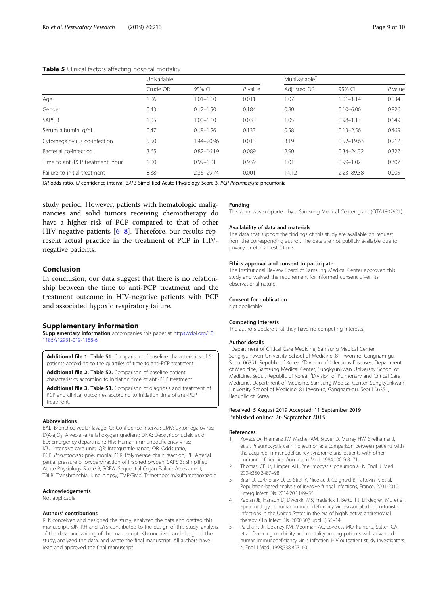#### <span id="page-8-0"></span>Table 5 Clinical factors affecting hospital mortality

|                                  | Univariable |                |           | Multivariable <sup>+</sup> |                |           |
|----------------------------------|-------------|----------------|-----------|----------------------------|----------------|-----------|
|                                  | Crude OR    | 95% CI         | $P$ value | Adjusted OR                | 95% CI         | $P$ value |
| Age                              | 1.06        | $1.01 - 1.10$  | 0.011     | 1.07                       | $1.01 - 1.14$  | 0.034     |
| Gender                           | 0.43        | $0.12 - 1.50$  | 0.184     | 0.80                       | $0.10 - 6.06$  | 0.826     |
| SAPS <sub>3</sub>                | 1.05        | $1.00 - 1.10$  | 0.033     | 1.05                       | $0.98 - 1.13$  | 0.149     |
| Serum albumin, g/dL              | 0.47        | $0.18 - 1.26$  | 0.133     | 0.58                       | $0.13 - 2.56$  | 0.469     |
| Cytomegalovirus co-infection     | 5.50        | 1.44-20.96     | 0.013     | 3.19                       | $0.52 - 19.63$ | 0.212     |
| Bacterial co-infection           | 3.65        | $0.82 - 16.19$ | 0.089     | 2.90                       | $0.34 - 24.32$ | 0.327     |
| Time to anti-PCP treatment, hour | 1.00        | $0.99 - 1.01$  | 0.939     | 1.01                       | $0.99 - 1.02$  | 0.307     |
| Failure to initial treatment     | 8.38        | 2.36-29.74     | 0.001     | 14.12                      | $2.23 - 89.38$ | 0.005     |

OR odds ratio, CI confidence interval, SAPS Simplified Acute Physiology Score 3, PCP Pneumocystis pneumonia

study period. However, patients with hematologic malignancies and solid tumors receiving chemotherapy do have a higher risk of PCP compared to that of other HIV-negative patients [\[6](#page-9-0)–[8\]](#page-9-0). Therefore, our results represent actual practice in the treatment of PCP in HIVnegative patients.

## Conclusion

In conclusion, our data suggest that there is no relationship between the time to anti-PCP treatment and the treatment outcome in HIV-negative patients with PCP and associated hypoxic respiratory failure.

#### Supplementary information

Supplementary information accompanies this paper at [https://doi.org/10.](https://doi.org/10.1186/s12931-019-1188-6) [1186/s12931-019-1188-6.](https://doi.org/10.1186/s12931-019-1188-6)

Additional file 1. Table S1. Comparison of baseline characteristics of 51 patients according to the quartiles of time to anti-PCP treatment.

Additional file 2. Table S2. Comparison of baseline patient characteristics according to initiation time of anti-PCP treatment.

Additional file 3. Table S3. Comparison of diagnosis and treatment of PCP and clinical outcomes according to initiation time of anti-PCP treatment.

#### Abbreviations

BAL: Bronchoalveolar lavage; CI: Confidence interval; CMV: Cytomegalovirus; D(A-a)O<sub>2</sub>: Alveolar-arterial oxygen gradient; DNA: Deoxyribonucleic acid; ED: Emergency department; HIV: Human immunodeficiency virus; ICU: Intensive care unit; IQR: Interquartile range; OR: Odds ratio; PCP: Pneumocystis pneumonia; PCR: Polymerase chain reaction; PF: Arterial partial pressure of oxygen/fraction of inspired oxygen; SAPS 3: Simplified Acute Physiology Score 3; SOFA: Sequential Organ Failure Assessment; TBLB: Transbronchial lung biopsy; TMP/SMX: Trimethoprim/sulfamethoxazole

#### Acknowledgements

Not applicable.

#### Authors' contributions

REK conceived and designed the study, analyzed the data and drafted this manuscript. SJN, KH and GYS contributed to the design of this study, analysis of the data, and writing of the manuscript. KJ conceived and designed the study, analyzed the data, and wrote the final manuscript. All authors have read and approved the final manuscript.

#### Funding

This work was supported by a Samsung Medical Center grant (OTA1802901).

#### Availability of data and materials

The data that support the findings of this study are available on request from the corresponding author. The data are not publicly available due to privacy or ethical restrictions.

#### Ethics approval and consent to participate

The Institutional Review Board of Samsung Medical Center approved this study and waived the requirement for informed consent given its observational nature.

# Consent for publication

Not applicable.

#### Competing interests

The authors declare that they have no competing interests.

#### Author details

<sup>1</sup>Department of Critical Care Medicine, Samsung Medical Center, Sungkyunkwan University School of Medicine, 81 Irwon-ro, Gangnam-gu, Seoul 06351, Republic of Korea. <sup>2</sup> Division of Infectious Diseases, Department of Medicine, Samsung Medical Center, Sungkyunkwan University School of Medicine, Seoul, Republic of Korea. <sup>3</sup> Division of Pulmonary and Critical Care Medicine, Department of Medicine, Samsung Medical Center, Sungkyunkwan University School of Medicine, 81 Irwon-ro, Gangnam-gu, Seoul 06351, Republic of Korea.

#### Received: 5 August 2019 Accepted: 11 September 2019 Published online: 26 September 2019

#### References

- 1. Kovacs JA, Hiemenz JW, Macher AM, Stover D, Murray HW, Shelhamer J, et al. Pneumocystis carinii pneumonia: a comparison between patients with the acquired immunodeficiency syndrome and patients with other immunodeficiencies. Ann Intern Med. 1984;100:663–71.
- 2. Thomas CF Jr, Limper AH. Pneumocystis pneumonia. N Engl J Med. 2004;350:2487–98.
- 3. Bitar D, Lortholary O, Le Strat Y, Nicolau J, Coignard B, Tattevin P, et al. Population-based analysis of invasive fungal infections, France, 2001-2010. Emerg Infect Dis. 2014;20:1149–55.
- 4. Kaplan JE, Hanson D, Dworkin MS, Frederick T, Bertolli J, Lindegren ML, et al. Epidemiology of human immunodeficiency virus-associated opportunistic infections in the United States in the era of highly active antiretroviral therapy. Clin Infect Dis. 2000;30(Suppl 1):S5–14.
- 5. Palella FJ Jr, Delaney KM, Moorman AC, Loveless MO, Fuhrer J, Satten GA, et al. Declining morbidity and mortality among patients with advanced human immunodeficiency virus infection. HIV outpatient study investigators. N Engl J Med. 1998;338:853–60.